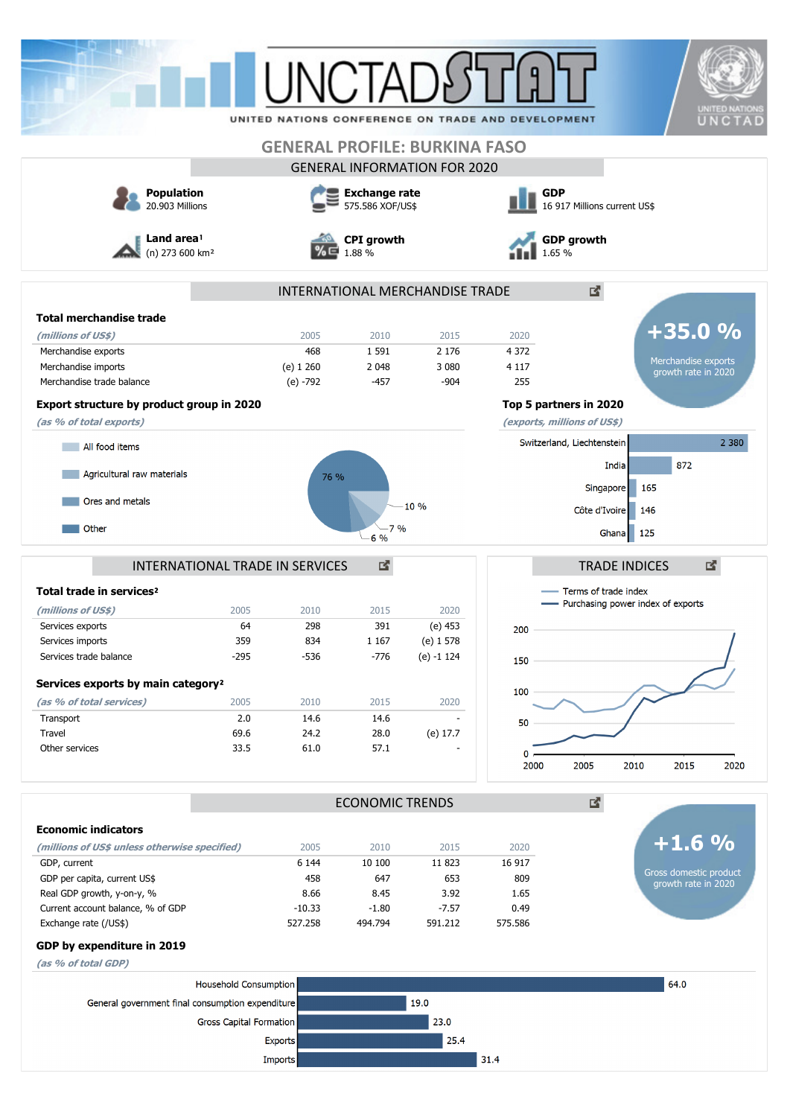|                                                  |                         |                           |                                          |                                      | UNITED NATIONS CONFERENCE ON TRADE AND DEVELOPMENT |                                     | <b>UNITED NATIONS</b><br>UNCTAD |  |  |
|--------------------------------------------------|-------------------------|---------------------------|------------------------------------------|--------------------------------------|----------------------------------------------------|-------------------------------------|---------------------------------|--|--|
|                                                  |                         |                           |                                          | <b>GENERAL PROFILE: BURKINA FASO</b> |                                                    |                                     |                                 |  |  |
|                                                  |                         |                           |                                          | <b>GENERAL INFORMATION FOR 2020</b>  |                                                    |                                     |                                 |  |  |
| <b>Population</b><br>20.903 Millions             |                         |                           | <b>Exchange rate</b><br>575.586 XOF/US\$ |                                      | <b>GDP</b><br>16 917 Millions current US\$         |                                     |                                 |  |  |
| Land area <sup>1</sup>                           |                         |                           | <b>CPI</b> growth                        |                                      | <b>GDP</b> growth                                  |                                     |                                 |  |  |
| (n) 273 600 km <sup>2</sup>                      |                         | 1.88 %                    |                                          |                                      | 65 %                                               |                                     |                                 |  |  |
|                                                  |                         |                           |                                          | INTERNATIONAL MERCHANDISE TRADE      |                                                    | 2                                   |                                 |  |  |
| <b>Total merchandise trade</b>                   |                         |                           |                                          |                                      |                                                    |                                     |                                 |  |  |
| (millions of US\$)                               |                         | 2005                      | 2010                                     | 2015                                 | 2020                                               |                                     | $+35.0%$                        |  |  |
| Merchandise exports                              |                         | 468                       | 1 5 9 1                                  | 2 1 7 6                              | 4 3 7 2                                            |                                     | Merchandise exports             |  |  |
| Merchandise imports                              |                         | $(e)$ 1 260               | 2 0 4 8                                  | 3 0 8 0                              | 4 1 1 7                                            |                                     | growth rate in 2020             |  |  |
| Merchandise trade balance                        |                         | $(e) - 792$               | $-457$                                   | $-904$                               | 255                                                |                                     |                                 |  |  |
| Export structure by product group in 2020        |                         |                           |                                          |                                      |                                                    | Top 5 partners in 2020              |                                 |  |  |
| (as % of total exports)                          |                         |                           |                                          |                                      |                                                    | (exports, millions of US\$)         |                                 |  |  |
| All food items                                   |                         |                           |                                          |                                      |                                                    | Switzerland, Liechtenstein          | 2 3 8 0                         |  |  |
| Agricultural raw materials                       |                         | 76 %                      |                                          |                                      |                                                    | India                               | 872                             |  |  |
| Ores and metals                                  |                         |                           |                                          | 10%                                  |                                                    | Singapore                           | 165                             |  |  |
| Other                                            |                         |                           | 7%                                       |                                      |                                                    | Côte d'Ivoire                       | 146                             |  |  |
|                                                  |                         |                           | 6 %                                      |                                      |                                                    | Ghana                               | 125                             |  |  |
| INTERNATIONAL TRADE IN SERVICES                  |                         |                           | 國                                        |                                      |                                                    | <b>TRADE INDICES</b>                | 國                               |  |  |
|                                                  |                         |                           |                                          |                                      |                                                    |                                     |                                 |  |  |
| Total trade in services <sup>2</sup>             |                         |                           |                                          |                                      |                                                    | Terms of trade index                |                                 |  |  |
| (millions of US\$)                               | 2005                    | 2010                      | 2015                                     | 2020                                 |                                                    | - Purchasing power index of exports |                                 |  |  |
| Services exports                                 | 64                      | 298                       | 391                                      | (e) 453                              | 200                                                |                                     |                                 |  |  |
| Services imports                                 | 359                     | 834                       | 1 167                                    | (e) 1 578                            |                                                    |                                     | 1                               |  |  |
| Services trade balance                           | $-295$                  | -536                      | $-776$                                   | $(e) - 1$ 124                        | 150                                                |                                     |                                 |  |  |
| Services exports by main category <sup>2</sup>   |                         |                           |                                          |                                      |                                                    |                                     |                                 |  |  |
| (as % of total services)                         | 2005                    | 2010                      | 2015                                     | 2020                                 | 100                                                |                                     |                                 |  |  |
| Transport                                        | 2.0                     | 14.6                      | 14.6                                     |                                      |                                                    |                                     |                                 |  |  |
| Travel                                           | 69.6                    | 24.2                      | 28.0                                     | (e) 17.7                             | 50                                                 |                                     |                                 |  |  |
| Other services                                   | 33.5                    | 61.0                      | 57.1                                     |                                      | 0                                                  |                                     |                                 |  |  |
|                                                  |                         |                           |                                          |                                      | 2000                                               | 2005<br>2010                        | 2015<br>2020                    |  |  |
|                                                  |                         |                           | <b>ECONOMIC TRENDS</b>                   |                                      |                                                    | 國                                   |                                 |  |  |
| <b>Economic indicators</b>                       |                         |                           |                                          |                                      |                                                    |                                     |                                 |  |  |
|                                                  |                         |                           |                                          |                                      |                                                    |                                     | $+1.6%$                         |  |  |
| (millions of US\$ unless otherwise specified)    |                         | 2005                      | 2010                                     | 2015                                 | 2020                                               |                                     |                                 |  |  |
| GDP, current<br>GDP per capita, current US\$     |                         | 6 1 4 4<br>458            | 10 100<br>647                            | 11 823<br>653                        | 16 917<br>809                                      |                                     | Gross domestic product          |  |  |
| Real GDP growth, y-on-y, %                       |                         | 8.66                      | 8.45                                     | 3.92                                 | 1.65                                               |                                     | growth rate in 2020             |  |  |
| Current account balance, % of GDP                |                         | $-10.33$                  | $-1.80$                                  | $-7.57$                              | 0.49                                               |                                     |                                 |  |  |
| Exchange rate (/US\$)                            |                         | 527.258                   | 494.794                                  | 591.212                              | 575.586                                            |                                     |                                 |  |  |
| GDP by expenditure in 2019                       |                         |                           |                                          |                                      |                                                    |                                     |                                 |  |  |
| (as % of total GDP)                              |                         |                           |                                          |                                      |                                                    |                                     |                                 |  |  |
|                                                  | Household Consumption   |                           |                                          |                                      |                                                    |                                     | 64.0                            |  |  |
| General government final consumption expenditure |                         |                           |                                          | 19.0                                 |                                                    |                                     |                                 |  |  |
|                                                  | Gross Capital Formation |                           |                                          | 23.0                                 |                                                    |                                     |                                 |  |  |
|                                                  |                         |                           |                                          |                                      |                                                    |                                     |                                 |  |  |
|                                                  |                         |                           |                                          |                                      |                                                    |                                     |                                 |  |  |
|                                                  |                         | <b>Exports</b><br>Imports |                                          | 25.4                                 | 31.4                                               |                                     |                                 |  |  |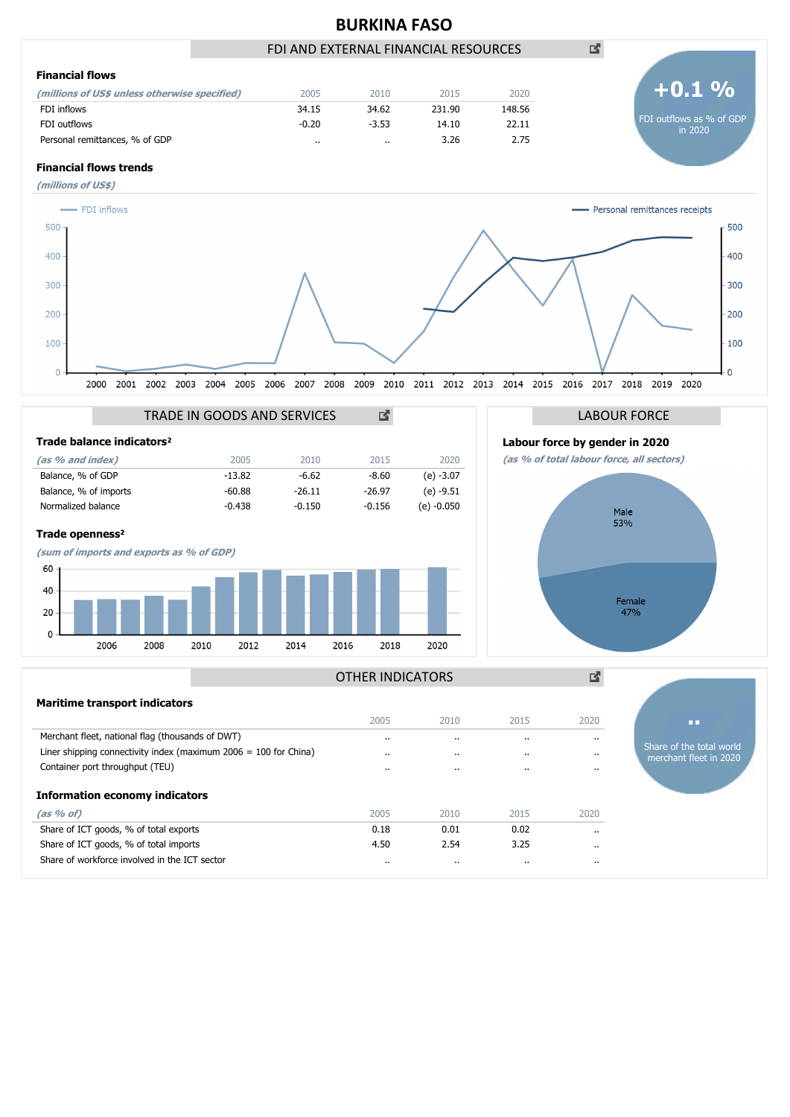

#### OTHER INDICATORS

| <b>Maritime transport indicators</b>                               |                      |           |           |          |                                                    |
|--------------------------------------------------------------------|----------------------|-----------|-----------|----------|----------------------------------------------------|
|                                                                    | 2005                 | 2010      | 2015      | 2020     | ш                                                  |
| Merchant fleet, national flag (thousands of DWT)                   | $\ddot{\phantom{a}}$ | $\cdot$ . | $\cdot$ . | $\cdot$  |                                                    |
| Liner shipping connectivity index (maximum $2006 = 100$ for China) | $\cdot$ .            | $\cdot$ . |           |          | Share of the total world<br>merchant fleet in 2020 |
| Container port throughput (TEU)                                    | $\cdot$              | $\cdots$  | $\cdot$ . |          |                                                    |
| <b>Information economy indicators</b>                              |                      |           |           |          |                                                    |
| (as  % of)                                                         | 2005                 | 2010      | 2015      | 2020     |                                                    |
| Share of ICT goods, % of total exports                             | 0.18                 | 0.01      | 0.02      | $\cdot$  |                                                    |
| Share of ICT goods, % of total imports                             | 4.50                 | 2.54      | 3.25      | $\cdots$ |                                                    |
| Share of workforce involved in the ICT sector                      | $\cdot$              | $\cdots$  | $\cdot$ . | $\cdots$ |                                                    |